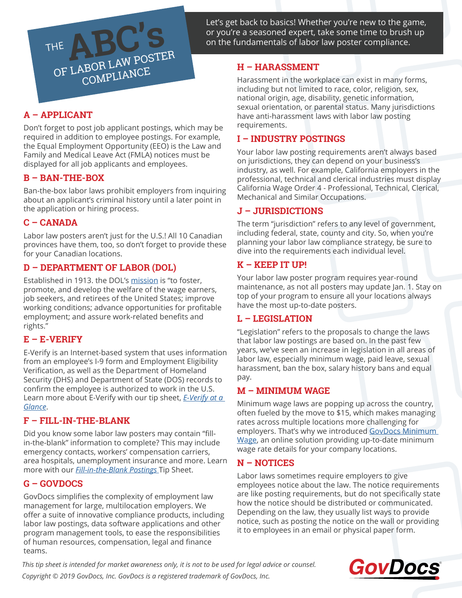Let's get back to basics! Whether you're new to the game, or you're a seasoned expert, take some time to brush up on the fundamentals of labor law poster compliance.

# **A – APPLICANT**

THE

Don't forget to post job applicant postings, which may be required in addition to employee postings. For example, the Equal Employment Opportunity (EEO) is the Law and Family and Medical Leave Act (FMLA) notices must be displayed for all job applicants and employees.

**ABC'S**<br>OF LABOR LAW POSTER

COMPLIANCE

### **B – BAN-THE-BOX**

Ban-the-box labor laws prohibit employers from inquiring about an applicant's criminal history until a later point in the application or hiring process.

### **C – CANADA**

Labor law posters aren't just for the U.S.! All 10 Canadian provinces have them, too, so don't forget to provide these for your Canadian locations.

### **D – DEPARTMENT OF LABOR (DOL)**

Established in 1913. the DOL's [mission](https://www.dol.gov/general/aboutdol) is "to foster, promote, and develop the welfare of the wage earners, job seekers, and retirees of the United States; improve working conditions; advance opportunities for profitable employment; and assure work-related benefits and rights."

### **E – E-VERIFY**

E-Verify is an Internet-based system that uses information from an employee's I-9 form and Employment Eligibility Verification, as well as the Department of Homeland Security (DHS) and Department of State (DOS) records to confirm the employee is authorized to work in the U.S. Learn more about E-Verify with our tip sheet, *[E-Verify at a](https://www.govdocs.com/home-page/resources/tip-sheets/e-verify-at-a-glance/)  [Glance](https://www.govdocs.com/home-page/resources/tip-sheets/e-verify-at-a-glance/)*.

### **F – FILL-IN-THE-BLANK**

Did you know some labor law posters may contain "fillin-the-blank" information to complete? This may include emergency contacts, workers' compensation carriers, area hospitals, unemployment insurance and more. Learn more with our *[Fill-in-the-Blank Postings](https://www.govdocs.com/home-page/resources/tip-sheets/fill-in-the-blank-postings/)* Tip Sheet.

### **G – GOVDOCS**

GovDocs simplifies the complexity of employment law management for large, multilocation employers. We offer a suite of innovative compliance products, including labor law postings, data software applications and other program management tools, to ease the responsibilities of human resources, compensation, legal and finance teams.

## **H – HARASSMENT**

Harassment in the workplace can exist in many forms, including but not limited to race, color, religion, sex, national origin, age, disability, genetic information, sexual orientation, or parental status. Many jurisdictions have anti-harassment laws with labor law posting requirements.

#### **I – INDUSTRY POSTINGS**

Your labor law posting requirements aren't always based on jurisdictions, they can depend on your business's industry, as well. For example, California employers in the professional, technical and clerical industries must display California Wage Order 4 - Professional, Technical, Clerical, Mechanical and Similar Occupations.

### **J – JURISDICTIONS**

The term "jurisdiction" refers to any level of government, including federal, state, county and city. So, when you're planning your labor law compliance strategy, be sure to dive into the requirements each individual level.

### **K – KEEP IT UP!**

Your labor law poster program requires year-round maintenance, as not all posters may update Jan. 1. Stay on top of your program to ensure all your locations always have the most up-to-date posters.

### **L – LEGISLATION**

"Legislation" refers to the proposals to change the laws that labor law postings are based on. In the past few years, we've seen an increase in legislation in all areas of labor law, especially minimum wage, paid leave, sexual harassment, ban the box, salary history bans and equal pay.

### **M – MINIMUM WAGE**

Minimum wage laws are popping up across the country, often fueled by the move to \$15, which makes managing rates across multiple locations more challenging for employers. That's why we introduced GovDocs Minimum [Wage](https://www.govdocs.com/home-page/products/govdocs-minimum-wage/), an online solution providing up-to-date minimum wage rate details for your company locations.

### **N – NOTICES**

Labor laws sometimes require employers to give employees notice about the law. The notice requirements are like posting requirements, but do not specifically state how the notice should be distributed or communicated. Depending on the law, they usually list ways to provide notice, such as posting the notice on the wall or providing it to employees in an email or physical paper form.

*This tip sheet is intended for market awareness only, it is not to be used for legal advice or counsel. Copyright © 2019 GovDocs, Inc. GovDocs is a registered trademark of GovDocs, Inc.*